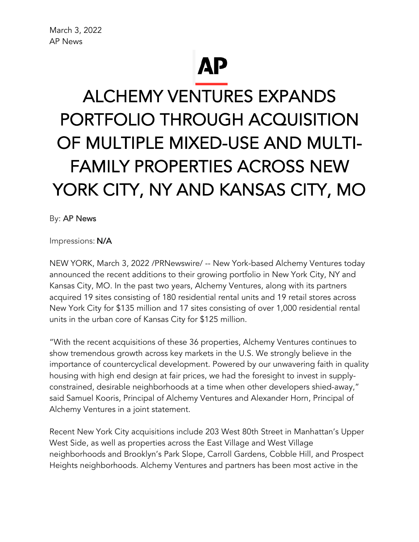## **AP**

## ALCHEMY VENTURES EXPANDS PORTFOLIO THROUGH ACQUISITION OF MULTIPLE MIXED-USE AND MULTI-FAMILY PROPERTIES ACROSS NEW YORK CITY, NY AND KANSAS CITY, MO

By: AP News

Impressions: N/A

NEW YORK, March 3, 2022 /PRNewswire/ -- New York-based Alchemy Ventures today announced the recent additions to their growing portfolio in New York City, NY and Kansas City, MO. In the past two years, Alchemy Ventures, along with its partners acquired 19 sites consisting of 180 residential rental units and 19 retail stores across New York City for \$135 million and 17 sites consisting of over 1,000 residential rental units in the urban core of Kansas City for \$125 million.

"With the recent acquisitions of these 36 properties, Alchemy Ventures continues to show tremendous growth across key markets in the U.S. We strongly believe in the importance of countercyclical development. Powered by our unwavering faith in quality housing with high end design at fair prices, we had the foresight to invest in supplyconstrained, desirable neighborhoods at a time when other developers shied-away," said Samuel Kooris, Principal of Alchemy Ventures and Alexander Horn, Principal of Alchemy Ventures in a joint statement.

Recent New York City acquisitions include 203 West 80th Street in Manhattan's Upper West Side, as well as properties across the East Village and West Village neighborhoods and Brooklyn's Park Slope, Carroll Gardens, Cobble Hill, and Prospect Heights neighborhoods. Alchemy Ventures and partners has been most active in the